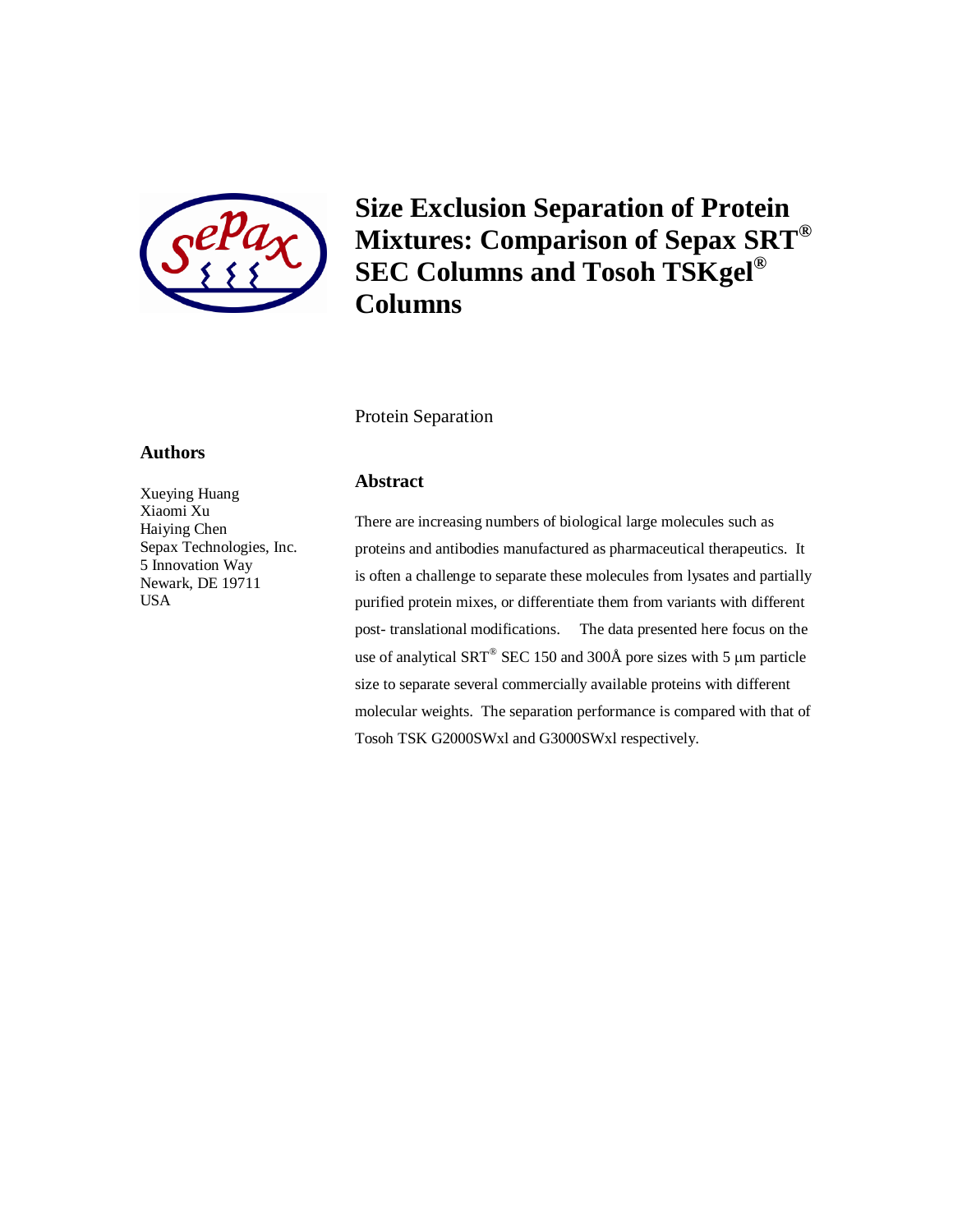

**Size Exclusion Separation of Protein Mixtures: Comparison of Sepax SRT® SEC Columns and Tosoh TSKgel® Columns**

Protein Separation

### **Authors**

Xueying Huang Xiaomi Xu Haiying Chen Sepax Technologies, Inc. 5 Innovation Way Newark, DE 19711 USA

## **Abstract**

There are increasing numbers of biological large molecules such as proteins and antibodies manufactured as pharmaceutical therapeutics. It is often a challenge to separate these molecules from lysates and partially purified protein mixes, or differentiate them from variants with different post- translational modifications. The data presented here focus on the use of analytical SRT<sup>®</sup> SEC 150 and 300Å pore sizes with 5  $\mu$ m particle size to separate several commercially available proteins with different molecular weights. The separation performance is compared with that of Tosoh TSK G2000SWxl and G3000SWxl respectively.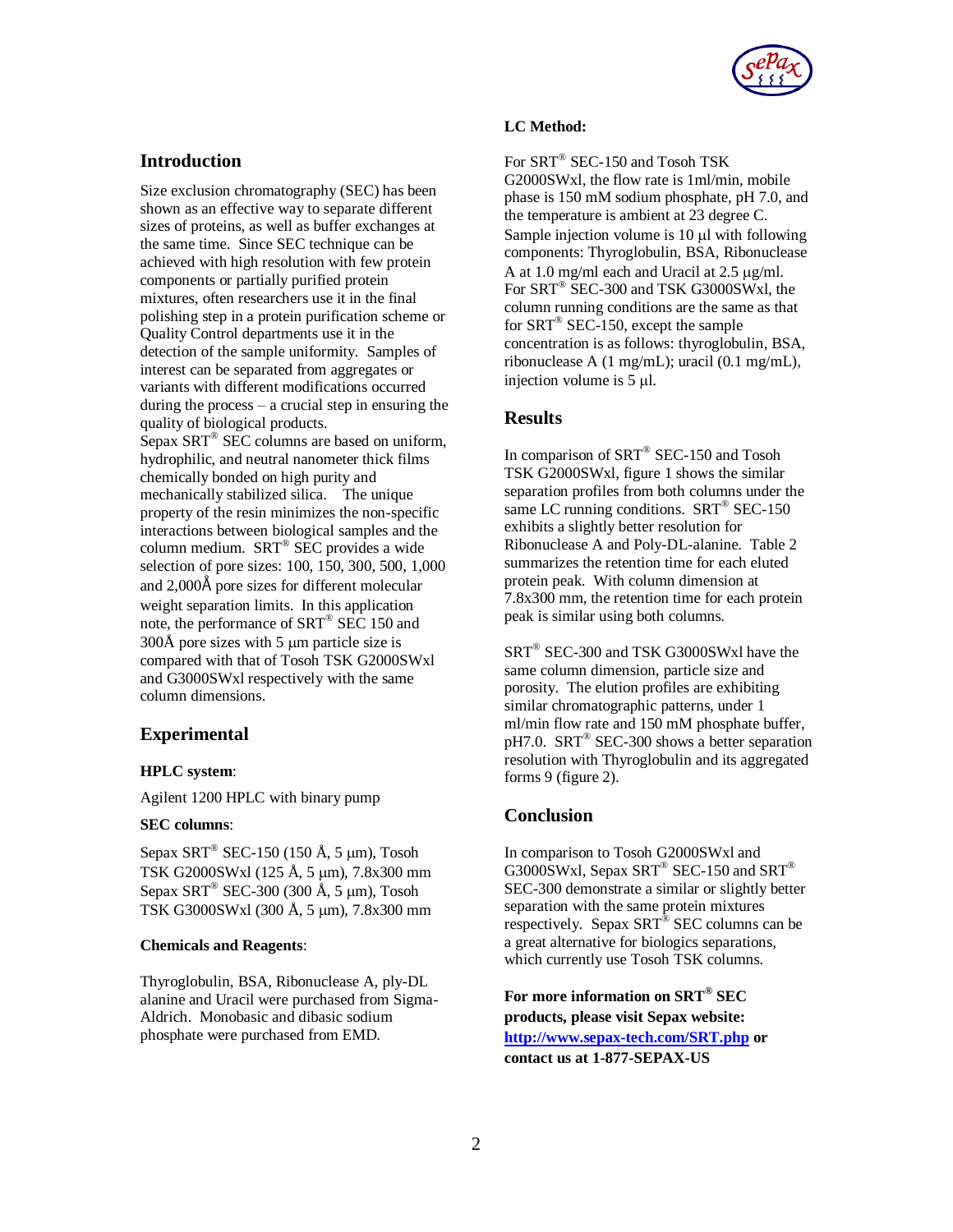

# **Introduction**

Size exclusion chromatography (SEC) has been shown as an effective way to separate different sizes of proteins, as well as buffer exchanges at the same time. Since SEC technique can be achieved with high resolution with few protein components or partially purified protein mixtures, often researchers use it in the final polishing step in a protein purification scheme or Quality Control departments use it in the detection of the sample uniformity. Samples of interest can be separated from aggregates or variants with different modifications occurred during the process  $-$  a crucial step in ensuring the quality of biological products. Sepax SRT® SEC columns are based on uniform, hydrophilic, and neutral nanometer thick films chemically bonded on high purity and mechanically stabilized silica. The unique property of the resin minimizes the non-specific interactions between biological samples and the column medium. SRT® SEC provides a wide selection of pore sizes: 100, 150, 300, 500, 1,000 and 2,000Å pore sizes for different molecular weight separation limits. In this application note, the performance of SRT® SEC 150 and  $300\text{\AA}$  pore sizes with 5 µm particle size is compared with that of Tosoh TSK G2000SWxl and G3000SWxl respectively with the same column dimensions.

## **Experimental**

### **HPLC system**:

Agilent 1200 HPLC with binary pump

### **SEC columns**:

Sepax SRT<sup>®</sup> SEC-150 (150 Å, 5  $\mu$ m), Tosoh TSK G2000SWxl (125 Å, 5 µm), 7.8x300 mm Sepax SRT<sup>®</sup> SEC-300 (300 Å, 5 μm), Tosoh TSK G3000SWxl (300 Å, 5 µm), 7.8x300 mm

### **Chemicals and Reagents**:

Thyroglobulin, BSA, Ribonuclease A, ply-DL alanine and Uracil were purchased from Sigma-Aldrich. Monobasic and dibasic sodium phosphate were purchased from EMD.

#### **LC Method:**

For SRT® SEC-150 and Tosoh TSK G2000SWxl, the flow rate is 1ml/min, mobile phase is 150 mM sodium phosphate, pH 7.0, and the temperature is ambient at 23 degree C. Sample injection volume is  $10 \mu l$  with following components: Thyroglobulin, BSA, Ribonuclease A at 1.0 mg/ml each and Uracil at  $2.5 \mu$ g/ml. For SRT® SEC-300 and TSK G3000SWxl, the column running conditions are the same as that for  $SRT^{\circledast}$  SEC-150, except the sample concentration is as follows: thyroglobulin, BSA, ribonuclease A (1 mg/mL); uracil (0.1 mg/mL), injection volume is  $5 \mu$ .

## **Results**

In comparison of SRT<sup>®</sup> SEC-150 and Tosoh TSK G2000SWxl, figure 1 shows the similar separation profiles from both columns under the same LC running conditions. SRT<sup>®</sup> SEC-150 exhibits a slightly better resolution for Ribonuclease A and Poly-DL-alanine. Table 2 summarizes the retention time for each eluted protein peak. With column dimension at 7.8x300 mm, the retention time for each protein peak is similar using both columns.

SRT® SEC-300 and TSK G3000SWxl have the same column dimension, particle size and porosity. The elution profiles are exhibiting similar chromatographic patterns, under 1 ml/min flow rate and 150 mM phosphate buffer, pH7.0. SRT® SEC-300 shows a better separation resolution with Thyroglobulin and its aggregated forms 9 (figure 2).

## **Conclusion**

In comparison to Tosoh G2000SWxl and G3000SWxl, Sepax SRT® SEC-150 and SRT® SEC-300 demonstrate a similar or slightly better separation with the same protein mixtures respectively. Sepax SRT<sup>®</sup> SEC columns can be a great alternative for biologics separations, which currently use Tosoh TSK columns.

**For more information on SRT® SEC products, please visit Sepax website: <http://www.sepax-tech.com/SRT.php> or contact us at 1-877-SEPAX-US**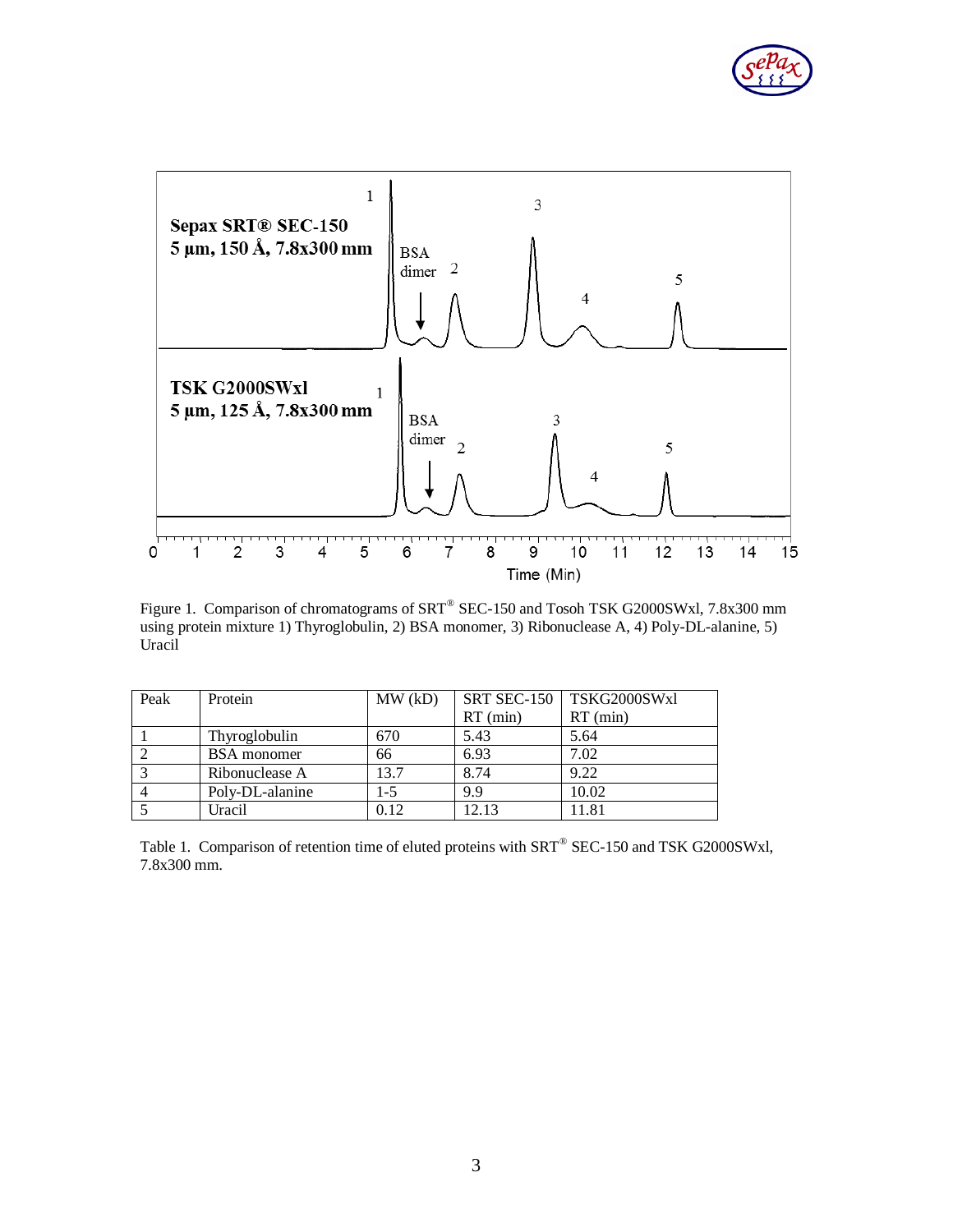



Figure 1. Comparison of chromatograms of SRT® SEC-150 and Tosoh TSK G2000SWxl, 7.8x300 mm using protein mixture 1) Thyroglobulin, 2) BSA monomer, 3) Ribonuclease A, 4) Poly-DL-alanine, 5) Uracil

| Peak           | Protein              | MW(kD)  |            | SRT SEC-150   TSKG2000SWxl |
|----------------|----------------------|---------|------------|----------------------------|
|                |                      |         | $RT$ (min) | $RT$ (min)                 |
|                | <b>Thyroglobulin</b> | 670     | 5.43       | 5.64                       |
|                | <b>BSA</b> monomer   | 66      | 6.93       | 7.02                       |
|                | Ribonuclease A       | 13.7    | 8.74       | 9.22                       |
| $\overline{4}$ | Poly-DL-alanine      | $1 - 5$ | 9.9        | 10.02                      |
|                | Uracil               | 0.12    | 12.13      | 11.81                      |

Table 1. Comparison of retention time of eluted proteins with SRT<sup>®</sup> SEC-150 and TSK G2000SWxl, 7.8x300 mm.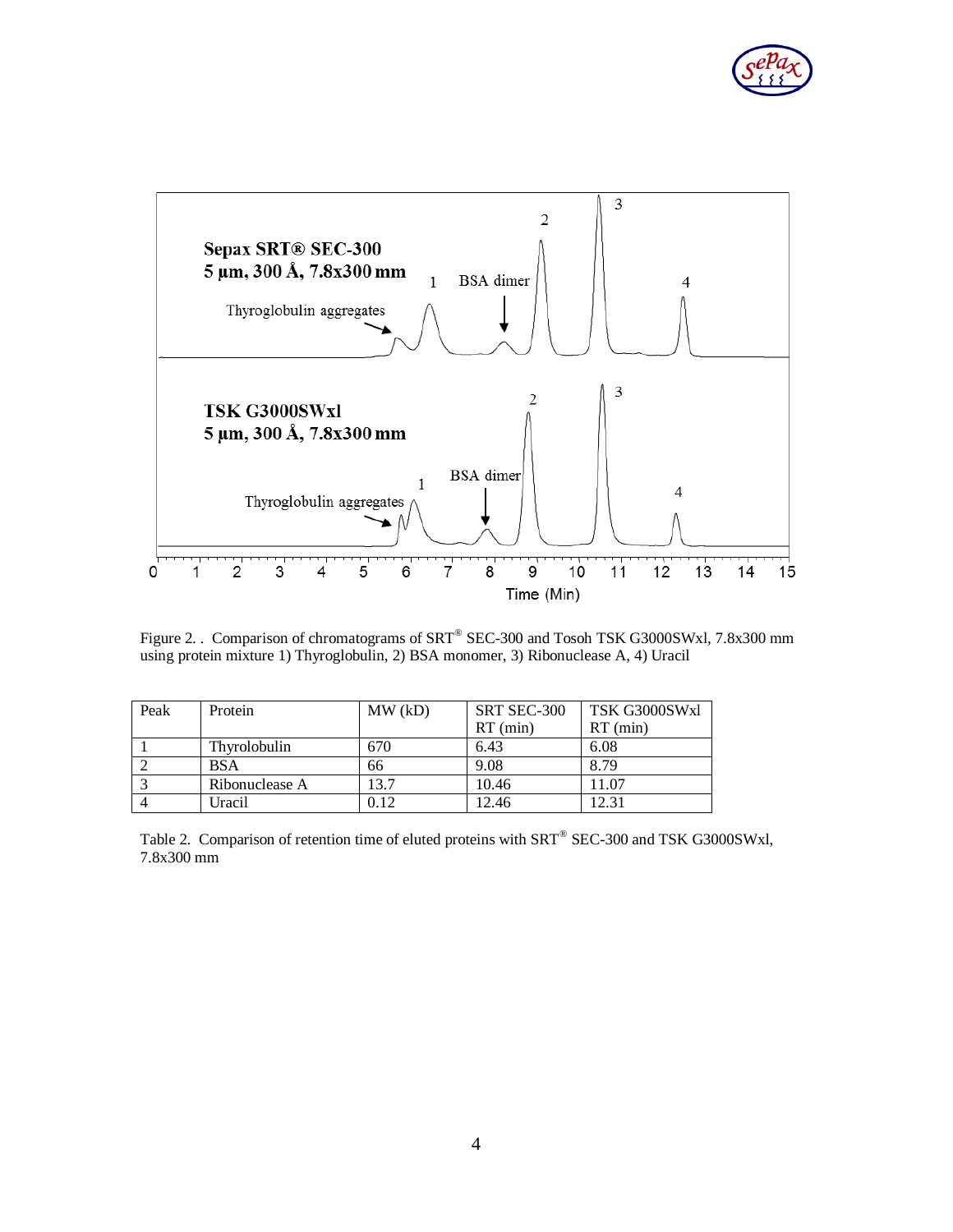



Figure 2. . Comparison of chromatograms of SRT® SEC-300 and Tosoh TSK G3000SWxl, 7.8x300 mm using protein mixture 1) Thyroglobulin, 2) BSA monomer, 3) Ribonuclease A, 4) Uracil

| Peak | Protein        | MW(kD) | SRT SEC-300 | TSK G3000SWxl |
|------|----------------|--------|-------------|---------------|
|      |                |        | $RT$ (min)  | $RT$ (min)    |
|      | Thyrolobulin   | 670    | 6.43        | 6.08          |
|      | <b>BSA</b>     | 66     | 9.08        | 8.79          |
|      | Ribonuclease A | 13.7   | 10.46       | 11.07         |
|      | Uracil         | 0.12   | 12.46       | 12.31         |

Table 2. Comparison of retention time of eluted proteins with SRT<sup>®</sup> SEC-300 and TSK G3000SWxl, 7.8x300 mm